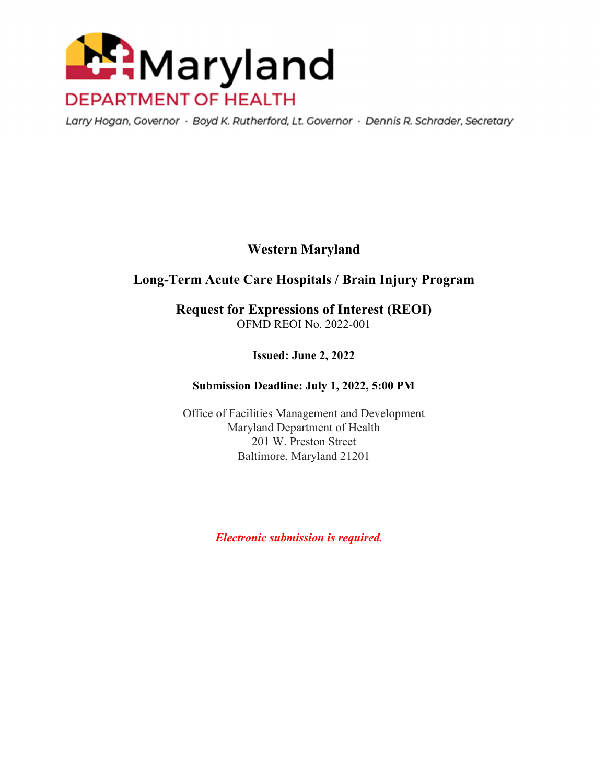

Larry Hogan, Governor · Boyd K. Rutherford, Lt. Governor · Dennis R. Schrader, Secretary

# **Western Maryland**

# **Long-Term Acute Care Hospitals / Brain Injury Program**

**Request for Expressions of Interest (REOI)**  OFMD REOI No. 2022-001

**Issued: June 2, 2022** 

#### **Submission Deadline: July 1, 2022, 5:00 PM**

Office of Facilities Management and Development Maryland Department of Health 201 W. Preston Street Baltimore, Maryland 21201

 *Electronic submission is required.*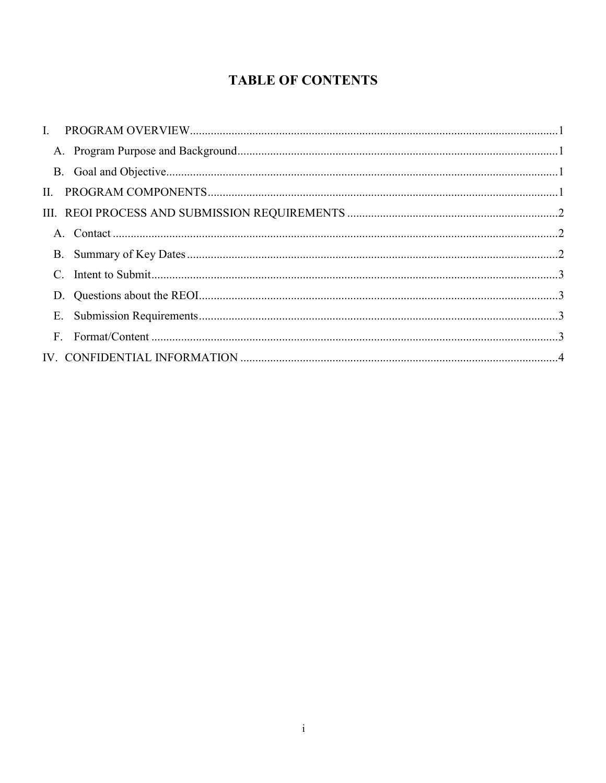# **TABLE OF CONTENTS**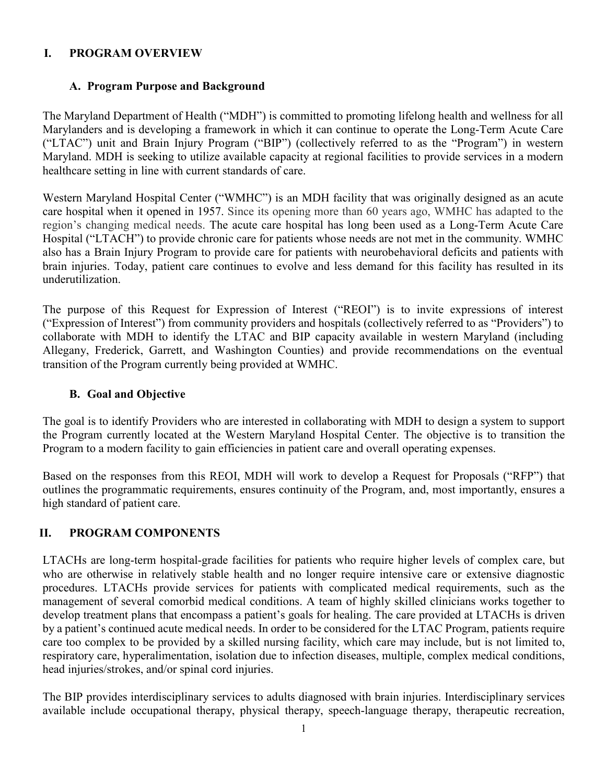#### **I. PROGRAM OVERVIEW**

#### **A. Program Purpose and Background**

The Maryland Department of Health ("MDH") is committed to promoting lifelong health and wellness for all Marylanders and is developing a framework in which it can continue to operate the Long-Term Acute Care ("LTAC") unit and Brain Injury Program ("BIP") (collectively referred to as the "Program") in western Maryland. MDH is seeking to utilize available capacity at regional facilities to provide services in a modern healthcare setting in line with current standards of care.

Western Maryland Hospital Center ("WMHC") is an MDH facility that was originally designed as an acute care hospital when it opened in 1957. Since its opening more than 60 years ago, WMHC has adapted to the region's changing medical needs. The acute care hospital has long been used as a Long-Term Acute Care Hospital ("LTACH") to provide chronic care for patients whose needs are not met in the community. WMHC also has a Brain Injury Program to provide care for patients with neurobehavioral deficits and patients with brain injuries. Today, patient care continues to evolve and less demand for this facility has resulted in its underutilization.

The purpose of this Request for Expression of Interest ("REOI") is to invite expressions of interest ("Expression of Interest") from community providers and hospitals (collectively referred to as "Providers") to collaborate with MDH to identify the LTAC and BIP capacity available in western Maryland (including Allegany, Frederick, Garrett, and Washington Counties) and provide recommendations on the eventual transition of the Program currently being provided at WMHC.

#### **B. Goal and Objective**

The goal is to identify Providers who are interested in collaborating with MDH to design a system to support the Program currently located at the Western Maryland Hospital Center. The objective is to transition the Program to a modern facility to gain efficiencies in patient care and overall operating expenses.

Based on the responses from this REOI, MDH will work to develop a Request for Proposals ("RFP") that outlines the programmatic requirements, ensures continuity of the Program, and, most importantly, ensures a high standard of patient care.

### **II. PROGRAM COMPONENTS**

LTACHs are long-term hospital-grade facilities for patients who require higher levels of complex care, but who are otherwise in relatively stable health and no longer require intensive care or extensive diagnostic procedures. LTACHs provide services for patients with complicated medical requirements, such as the management of several comorbid medical conditions. A team of highly skilled clinicians works together to develop treatment plans that encompass a patient's goals for healing. The care provided at LTACHs is driven by a patient's continued acute medical needs. In order to be considered for the LTAC Program, patients require care too complex to be provided by a skilled nursing facility, which care may include, but is not limited to, respiratory care, hyperalimentation, isolation due to infection diseases, multiple, complex medical conditions, head injuries/strokes, and/or spinal cord injuries.

The BIP provides interdisciplinary services to adults diagnosed with brain injuries. Interdisciplinary services available include occupational therapy, physical therapy, speech-language therapy, therapeutic recreation,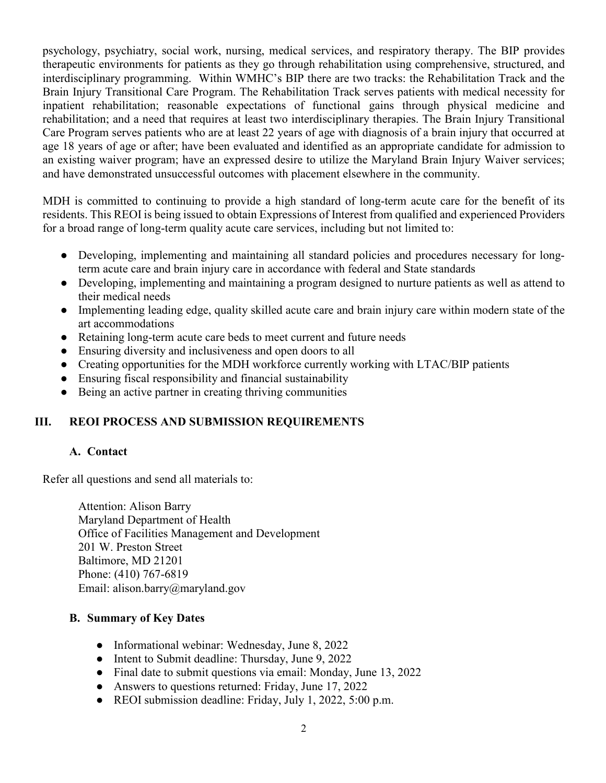psychology, psychiatry, social work, nursing, medical services, and respiratory therapy. The BIP provides therapeutic environments for patients as they go through rehabilitation using comprehensive, structured, and interdisciplinary programming. Within WMHC's BIP there are two tracks: the Rehabilitation Track and the Brain Injury Transitional Care Program. The Rehabilitation Track serves patients with medical necessity for inpatient rehabilitation; reasonable expectations of functional gains through physical medicine and rehabilitation; and a need that requires at least two interdisciplinary therapies. The Brain Injury Transitional Care Program serves patients who are at least 22 years of age with diagnosis of a brain injury that occurred at age 18 years of age or after; have been evaluated and identified as an appropriate candidate for admission to an existing waiver program; have an expressed desire to utilize the Maryland Brain Injury Waiver services; and have demonstrated unsuccessful outcomes with placement elsewhere in the community.

MDH is committed to continuing to provide a high standard of long-term acute care for the benefit of its residents. This REOI is being issued to obtain Expressions of Interest from qualified and experienced Providers for a broad range of long-term quality acute care services, including but not limited to:

- Developing, implementing and maintaining all standard policies and procedures necessary for longterm acute care and brain injury care in accordance with federal and State standards
- Developing, implementing and maintaining a program designed to nurture patients as well as attend to their medical needs
- Implementing leading edge, quality skilled acute care and brain injury care within modern state of the art accommodations
- Retaining long-term acute care beds to meet current and future needs
- Ensuring diversity and inclusiveness and open doors to all
- Creating opportunities for the MDH workforce currently working with LTAC/BIP patients
- Ensuring fiscal responsibility and financial sustainability
- Being an active partner in creating thriving communities

### **III. REOI PROCESS AND SUBMISSION REQUIREMENTS**

### **A. Contact**

Refer all questions and send all materials to:

Attention: Alison Barry Maryland Department of Health Office of Facilities Management and Development 201 W. Preston Street Baltimore, MD 21201 Phone: (410) 767-6819 Email: alison.barry@maryland.gov

#### **B. Summary of Key Dates**

- Informational webinar: Wednesday, June 8, 2022
- Intent to Submit deadline: Thursday, June 9, 2022
- Final date to submit questions via email: Monday, June 13, 2022
- Answers to questions returned: Friday, June 17, 2022
- REOI submission deadline: Friday, July 1, 2022, 5:00 p.m.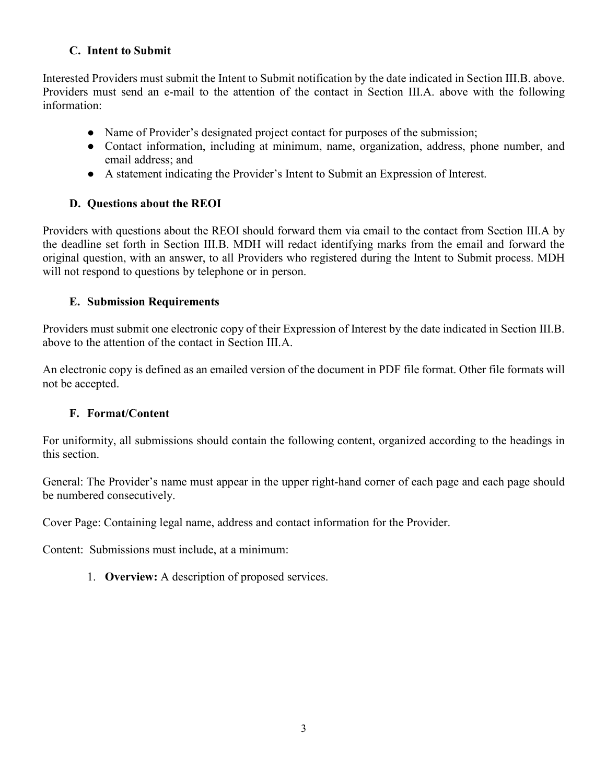### **C. Intent to Submit**

Interested Providers must submit the Intent to Submit notification by the date indicated in Section III.B. above. Providers must send an e-mail to the attention of the contact in Section III.A. above with the following information:

- Name of Provider's designated project contact for purposes of the submission;
- Contact information, including at minimum, name, organization, address, phone number, and email address; and
- A statement indicating the Provider's Intent to Submit an Expression of Interest.

# **D. Questions about the REOI**

Providers with questions about the REOI should forward them via email to the contact from Section III.A by the deadline set forth in Section III.B. MDH will redact identifying marks from the email and forward the original question, with an answer, to all Providers who registered during the Intent to Submit process. MDH will not respond to questions by telephone or in person.

## **E. Submission Requirements**

Providers must submit one electronic copy of their Expression of Interest by the date indicated in Section III.B. above to the attention of the contact in Section III.A.

An electronic copy is defined as an emailed version of the document in PDF file format. Other file formats will not be accepted.

# **F. Format/Content**

For uniformity, all submissions should contain the following content, organized according to the headings in this section.

General: The Provider's name must appear in the upper right-hand corner of each page and each page should be numbered consecutively.

Cover Page: Containing legal name, address and contact information for the Provider.

Content: Submissions must include, at a minimum:

1. **Overview:** A description of proposed services.